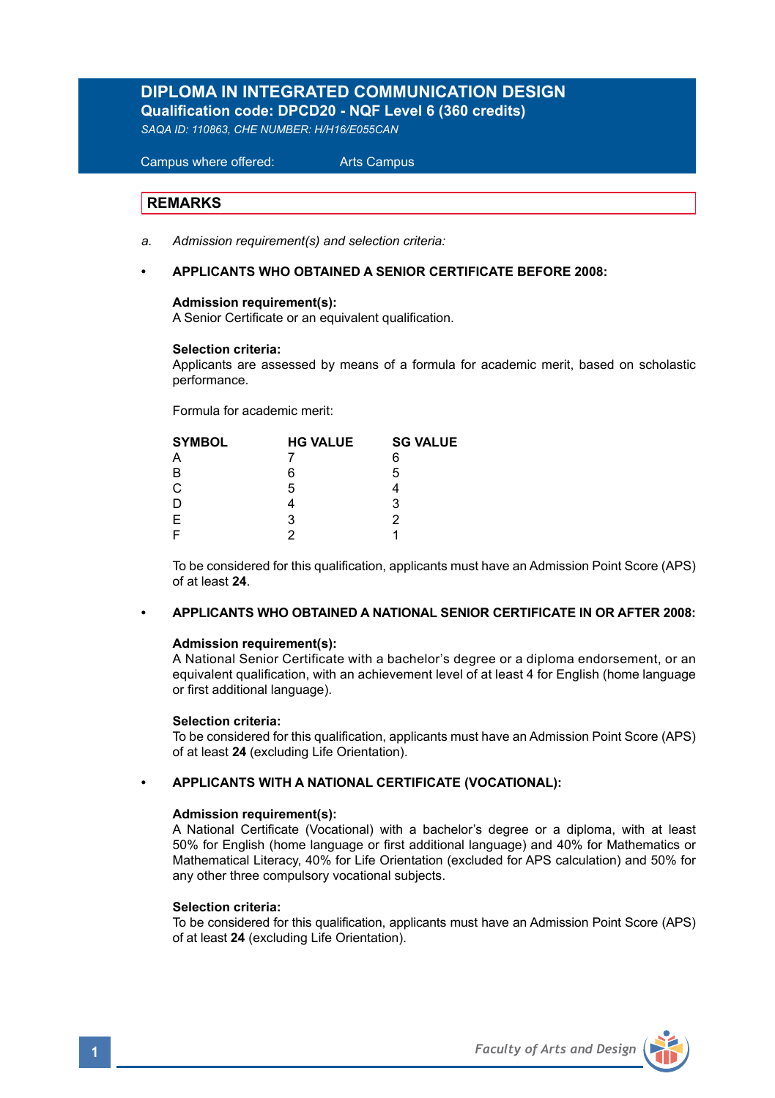# **DIPLOMA IN INTEGRATED COMMUNICATION DESIGN Qualification code: DPCD20 - NQF Level 6 (360 credits)**

*SAQA ID: 110863, CHE NUMBER: H/H16/E055CAN*

 Campus where offered: Arts Campus

# **REMARKS**

*a. Admission requirement(s) and selection criteria:* 

## **• APPLICANTS WHO OBTAINED A SENIOR CERTIFICATE BEFORE 2008:**

### **Admission requirement(s):**

A Senior Certificate or an equivalent qualification.

### **Selection criteria:**

Applicants are assessed by means of a formula for academic merit, based on scholastic performance.

Formula for academic merit:

| <b>SYMBOL</b> | <b>HG VALUE</b> | <b>SG VALUE</b> |
|---------------|-----------------|-----------------|
| A             |                 | 6               |
| B             | 6               | 5               |
| $\mathbf C$   | 5               |                 |
| D             |                 | 3               |
| Ε             | 3               | 2               |
| F             |                 |                 |

 To be considered for this qualification, applicants must have an Admission Point Score (APS) of at least **24**.

### **• APPLICANTS WHO OBTAINED A NATIONAL SENIOR CERTIFICATE IN OR AFTER 2008:**

### **Admission requirement(s):**

 A National Senior Certificate with a bachelor's degree or a diploma endorsement, or an equivalent qualification, with an achievement level of at least 4 for English (home language or first additional language).

### **Selection criteria:**

To be considered for this qualification, applicants must have an Admission Point Score (APS) of at least **24** (excluding Life Orientation).

### **• APPLICANTS WITH A NATIONAL CERTIFICATE (VOCATIONAL):**

### **Admission requirement(s):**

 A National Certificate (Vocational) with a bachelor's degree or a diploma, with at least 50% for English (home language or first additional language) and 40% for Mathematics or Mathematical Literacy, 40% for Life Orientation (excluded for APS calculation) and 50% for any other three compulsory vocational subjects.

### **Selection criteria:**

To be considered for this qualification, applicants must have an Admission Point Score (APS) of at least **24** (excluding Life Orientation).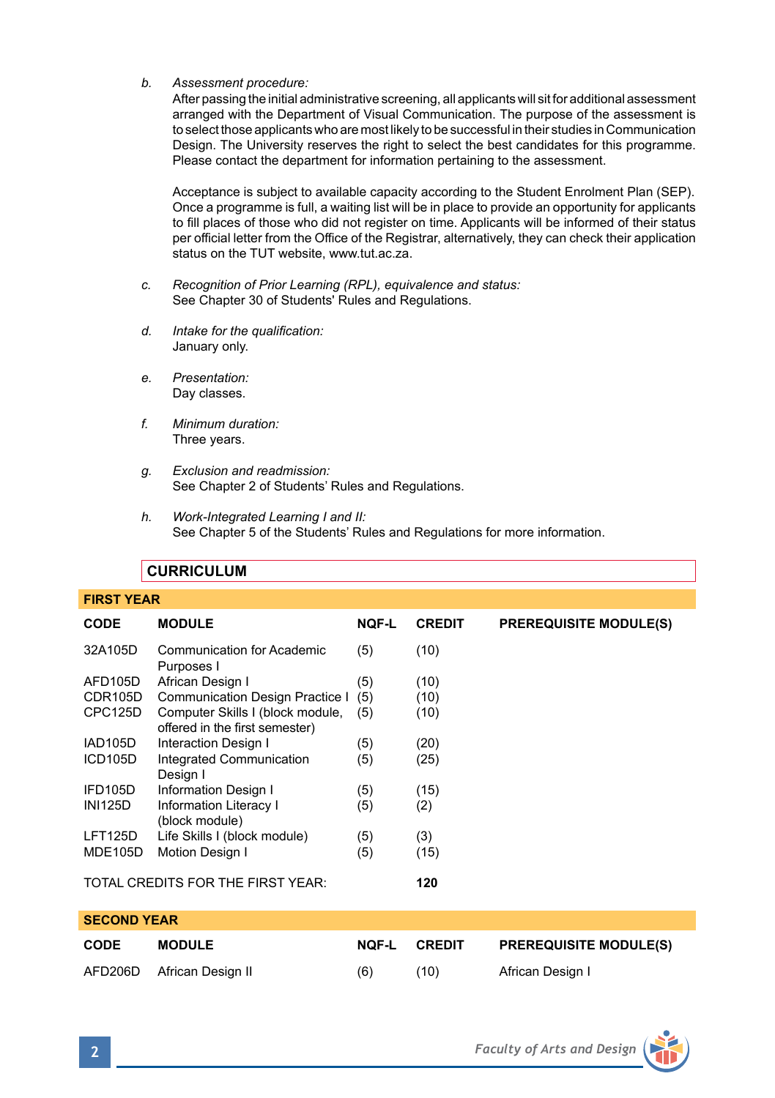*b. Assessment procedure:* 

After passing the initial administrative screening, all applicants will sit for additional assessment arranged with the Department of Visual Communication. The purpose of the assessment is to select those applicants who are most likely to be successful in their studies in Communication Design. The University reserves the right to select the best candidates for this programme. Please contact the department for information pertaining to the assessment.

 Acceptance is subject to available capacity according to the Student Enrolment Plan (SEP). Once a programme is full, a waiting list will be in place to provide an opportunity for applicants to fill places of those who did not register on time. Applicants will be informed of their status per official letter from the Office of the Registrar, alternatively, they can check their application status on the TUT website, www.tut.ac.za.

- *c. Recognition of Prior Learning (RPL), equivalence and status:* See Chapter 30 of Students' Rules and Regulations.
- *d. Intake for the qualification:* January only.
- *e. Presentation:* Day classes.
- *f. Minimum duration:* Three years.
- *g. Exclusion and readmission:* See Chapter 2 of Students' Rules and Regulations.
- *h. Work-Integrated Learning I and II:*  See Chapter 5 of the Students' Rules and Regulations for more information.

| <b>FIRST YEAR</b>  |                                                                    |              |               |                               |
|--------------------|--------------------------------------------------------------------|--------------|---------------|-------------------------------|
| <b>CODE</b>        | <b>MODULE</b>                                                      | <b>NQF-L</b> | <b>CREDIT</b> | <b>PREREQUISITE MODULE(S)</b> |
| 32A105D            | Communication for Academic<br>Purposes I                           | (5)          | (10)          |                               |
| AFD105D            | African Design I                                                   | (5)          | (10)          |                               |
| CDR105D            | Communication Design Practice I                                    | (5)          | (10)          |                               |
| CPC125D            | Computer Skills I (block module,<br>offered in the first semester) | (5)          | (10)          |                               |
| IAD105D            | Interaction Design I                                               | (5)          | (20)          |                               |
| ICD105D            | Integrated Communication<br>Design I                               | (5)          | (25)          |                               |
| IFD105D            | Information Design I                                               | (5)          | (15)          |                               |
| <b>INI125D</b>     | Information Literacy I<br>(block module)                           | (5)          | (2)           |                               |
| LFT125D            | Life Skills I (block module)                                       | (5)          | (3)           |                               |
| <b>MDE105D</b>     | Motion Design I                                                    | (5)          | (15)          |                               |
|                    | TOTAL CREDITS FOR THE FIRST YEAR:                                  |              | 120           |                               |
| <b>SECOND YEAR</b> |                                                                    |              |               |                               |
| <b>CODE</b>        | <b>MODULE</b>                                                      | <b>NQF-L</b> | <b>CREDIT</b> | <b>PREREQUISITE MODULE(S)</b> |
| AFD206D            | African Design II                                                  | (6)          | (10)          | African Design I              |

# **CURRICULUM**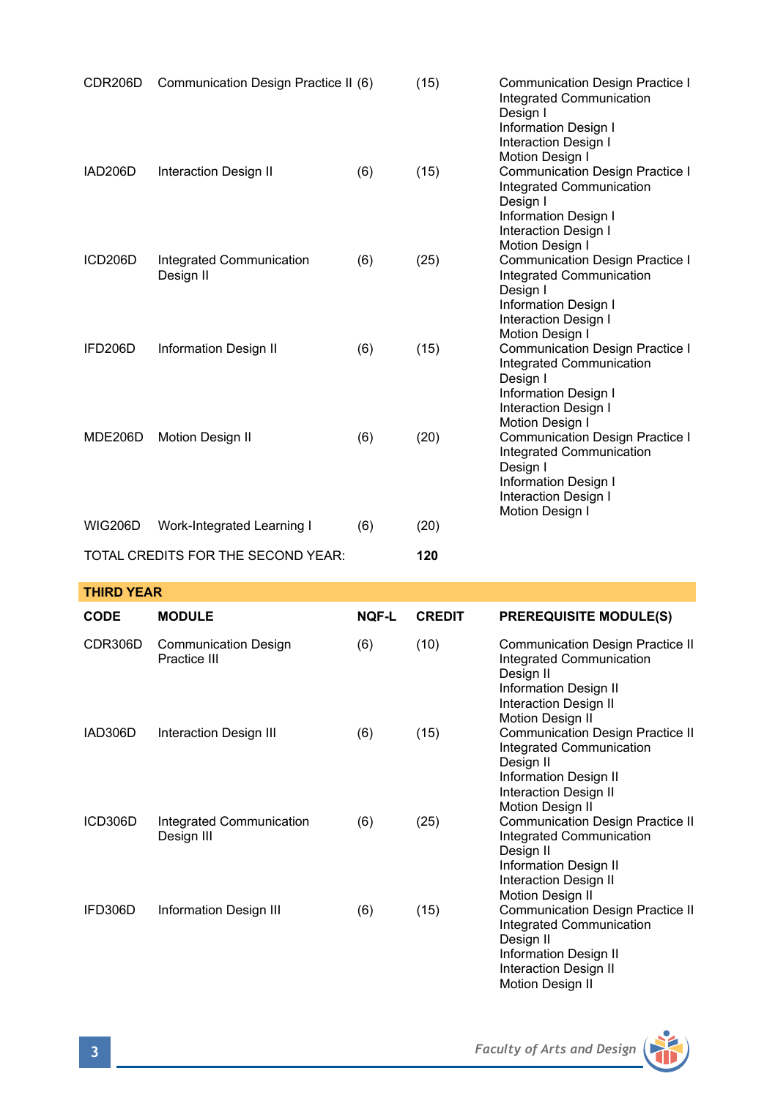| CDR206D        | Communication Design Practice II (6)  |     | (15) | <b>Communication Design Practice I</b><br>Integrated Communication<br>Design I<br><b>Information Design I</b><br>Interaction Design I                         |
|----------------|---------------------------------------|-----|------|---------------------------------------------------------------------------------------------------------------------------------------------------------------|
| IAD206D        | Interaction Design II                 | (6) | (15) | Motion Design I<br>Communication Design Practice I<br>Integrated Communication<br>Design I<br>Information Design I<br>Interaction Design I<br>Motion Design I |
| ICD206D        | Integrated Communication<br>Design II | (6) | (25) | <b>Communication Design Practice I</b><br>Integrated Communication<br>Design I<br>Information Design I<br>Interaction Design I<br>Motion Design I             |
| IFD206D        | <b>Information Design II</b>          | (6) | (15) | <b>Communication Design Practice I</b><br>Integrated Communication<br>Design I<br>Information Design I<br><b>Interaction Design I</b><br>Motion Design I      |
| MDE206D        | <b>Motion Design II</b>               | (6) | (20) | Communication Design Practice I<br>Integrated Communication<br>Design I<br>Information Design I<br>Interaction Design I<br>Motion Design I                    |
| <b>WIG206D</b> | Work-Integrated Learning I            | (6) | (20) |                                                                                                                                                               |
|                | TOTAL CREDITS FOR THE SECOND YEAR:    |     | 120  |                                                                                                                                                               |

| <b>THIRD YEAR</b> |                                             |              |               |                                                                                                                                                                      |
|-------------------|---------------------------------------------|--------------|---------------|----------------------------------------------------------------------------------------------------------------------------------------------------------------------|
| <b>CODE</b>       | <b>MODULE</b>                               | <b>NOF-L</b> | <b>CREDIT</b> | <b>PREREQUISITE MODULE(S)</b>                                                                                                                                        |
| CDR306D           | <b>Communication Design</b><br>Practice III | (6)          | (10)          | <b>Communication Design Practice II</b><br>Integrated Communication<br>Design II<br>Information Design II<br><b>Interaction Design II</b><br><b>Motion Design II</b> |
| IAD306D           | <b>Interaction Design III</b>               | (6)          | (15)          | <b>Communication Design Practice II</b><br>Integrated Communication<br>Design II<br>Information Design II<br><b>Interaction Design II</b><br><b>Motion Design II</b> |
| ICD306D           | Integrated Communication<br>Design III      | (6)          | (25)          | <b>Communication Design Practice II</b><br>Integrated Communication<br>Design II<br>Information Design II<br>Interaction Design II<br><b>Motion Design II</b>        |
| IFD306D           | Information Design III                      | (6)          | (15)          | Communication Design Practice II<br>Integrated Communication<br>Design II<br>Information Design II                                                                   |

Interaction Design II Motion Design II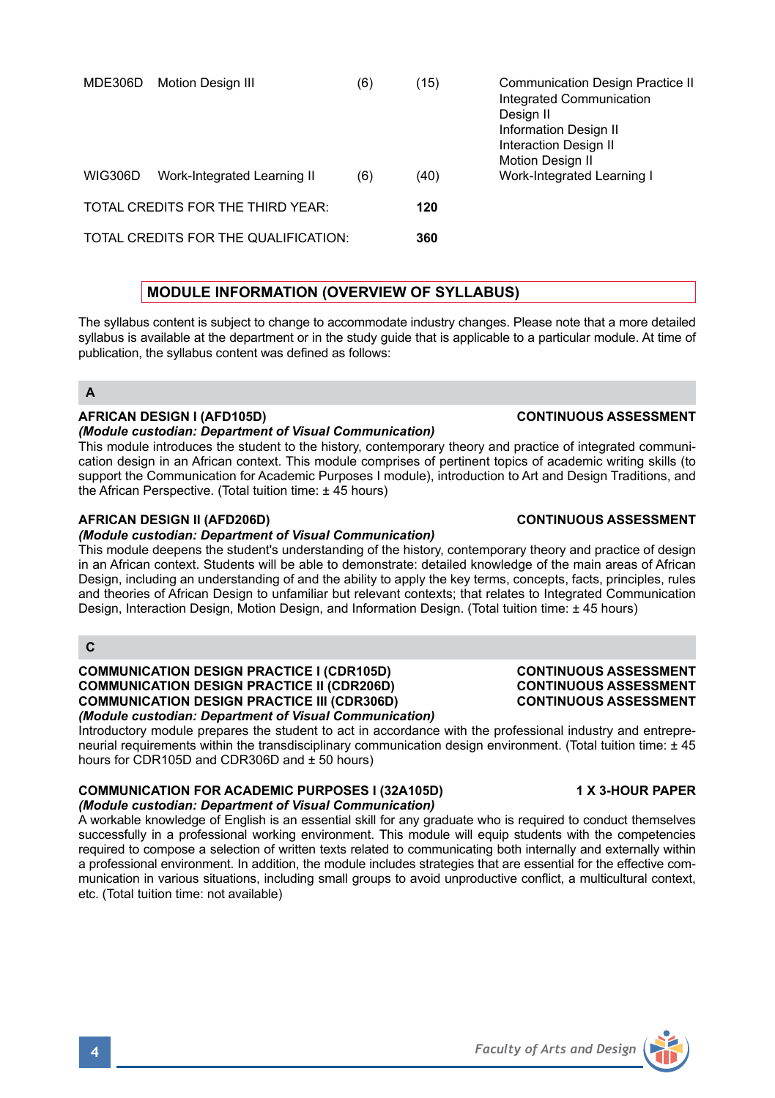**4** *Faculty of Arts and Design*

| MDE306D        | Motion Design III                    | (6) | (15) | <b>Communication Design Practice II</b><br>Integrated Communication<br>Design II<br><b>Information Design II</b><br>Interaction Design II<br>Motion Design II |
|----------------|--------------------------------------|-----|------|---------------------------------------------------------------------------------------------------------------------------------------------------------------|
| <b>WIG306D</b> | Work-Integrated Learning II          | (6) | (40) | Work-Integrated Learning I                                                                                                                                    |
|                | TOTAL CREDITS FOR THE THIRD YEAR:    |     | 120  |                                                                                                                                                               |
|                | TOTAL CREDITS FOR THE QUALIFICATION: |     | 360  |                                                                                                                                                               |

# **MODULE INFORMATION (OVERVIEW OF SYLLABUS)**

The syllabus content is subject to change to accommodate industry changes. Please note that a more detailed syllabus is available at the department or in the study guide that is applicable to a particular module. At time of publication, the syllabus content was defined as follows:

# **A**

# **AFRICAN DESIGN I (AFD105D) CONTINUOUS ASSESSMENT**

*(Module custodian: Department of Visual Communication)* This module introduces the student to the history, contemporary theory and practice of integrated communication design in an African context. This module comprises of pertinent topics of academic writing skills (to support the Communication for Academic Purposes I module), introduction to Art and Design Traditions, and

# **AFRICAN DESIGN II (AFD206D) CONTINUOUS ASSESSMENT**

# *(Module custodian: Department of Visual Communication)*

the African Perspective. (Total tuition time: ± 45 hours)

This module deepens the student's understanding of the history, contemporary theory and practice of design in an African context. Students will be able to demonstrate: detailed knowledge of the main areas of African Design, including an understanding of and the ability to apply the key terms, concepts, facts, principles, rules and theories of African Design to unfamiliar but relevant contexts; that relates to Integrated Communication Design, Interaction Design, Motion Design, and Information Design. (Total tuition time: ± 45 hours)

# **C**

### **COMMUNICATION DESIGN PRACTICE I (CDR105D) CONTINUOUS ASSESSMENT COMMUNICATION DESIGN PRACTICE II (CDR206D) CONTINUOUS ASSESSMENT COMMUNICATION DESIGN PRACTICE III (CDR306D)** *(Module custodian: Department of Visual Communication)*

Introductory module prepares the student to act in accordance with the professional industry and entrepreneurial requirements within the transdisciplinary communication design environment. (Total tuition time: ± 45 hours for CDR105D and CDR306D and ± 50 hours)

# **COMMUNICATION FOR ACADEMIC PURPOSES I (32A105D) 1 X 3-HOUR PAPER**

# *(Module custodian: Department of Visual Communication)*

A workable knowledge of English is an essential skill for any graduate who is required to conduct themselves successfully in a professional working environment. This module will equip students with the competencies required to compose a selection of written texts related to communicating both internally and externally within a professional environment. In addition, the module includes strategies that are essential for the effective communication in various situations, including small groups to avoid unproductive conflict, a multicultural context, etc. (Total tuition time: not available)



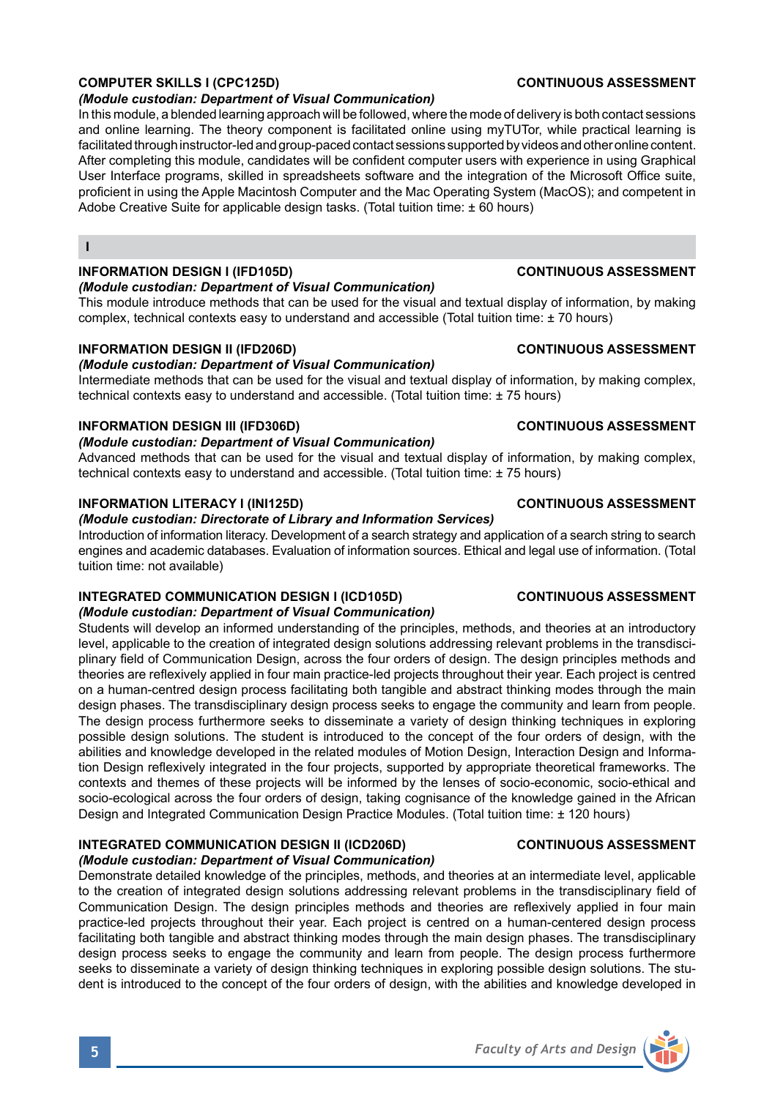# **COMPUTER SKILLS I (CPC125D) CONTINUOUS ASSESSMENT**

### *(Module custodian: Department of Visual Communication)*

In this module, a blended learning approach will be followed, where the mode of delivery is both contact sessions and online learning. The theory component is facilitated online using myTUTor, while practical learning is facilitated through instructor-led and group-paced contact sessions supported by videos and other online content. After completing this module, candidates will be confident computer users with experience in using Graphical User Interface programs, skilled in spreadsheets software and the integration of the Microsoft Office suite, proficient in using the Apple Macintosh Computer and the Mac Operating System (MacOS); and competent in Adobe Creative Suite for applicable design tasks. (Total tuition time: ± 60 hours)

# **INFORMATION DESIGN I (IFD105D) CONTINUOUS ASSESSMENT**

**I**

## *(Module custodian: Department of Visual Communication)*

This module introduce methods that can be used for the visual and textual display of information, by making complex, technical contexts easy to understand and accessible (Total tuition time: ± 70 hours)

# **INFORMATION DESIGN II (IFD206D) CONTINUOUS ASSESSMENT**

## *(Module custodian: Department of Visual Communication)*

Intermediate methods that can be used for the visual and textual display of information, by making complex, technical contexts easy to understand and accessible. (Total tuition time: ± 75 hours)

## **INFORMATION DESIGN III (IFD306D) CONTINUOUS ASSESSMENT**

### *(Module custodian: Department of Visual Communication)*

Advanced methods that can be used for the visual and textual display of information, by making complex, technical contexts easy to understand and accessible. (Total tuition time: ± 75 hours)

## **INFORMATION LITERACY I (INI125D) CONTINUOUS ASSESSMENT**

## *(Module custodian: Directorate of Library and Information Services)*

Introduction of information literacy. Development of a search strategy and application of a search string to search engines and academic databases. Evaluation of information sources. Ethical and legal use of information. (Total tuition time: not available)

### **INTEGRATED COMMUNICATION DESIGN I (ICD105D) CONTINUOUS ASSESSMENT** *(Module custodian: Department of Visual Communication)*

Students will develop an informed understanding of the principles, methods, and theories at an introductory level, applicable to the creation of integrated design solutions addressing relevant problems in the transdisciplinary field of Communication Design, across the four orders of design. The design principles methods and theories are reflexively applied in four main practice-led projects throughout their year. Each project is centred on a human-centred design process facilitating both tangible and abstract thinking modes through the main design phases. The transdisciplinary design process seeks to engage the community and learn from people. The design process furthermore seeks to disseminate a variety of design thinking techniques in exploring possible design solutions. The student is introduced to the concept of the four orders of design, with the abilities and knowledge developed in the related modules of Motion Design, Interaction Design and Information Design reflexively integrated in the four projects, supported by appropriate theoretical frameworks. The contexts and themes of these projects will be informed by the lenses of socio-economic, socio-ethical and socio-ecological across the four orders of design, taking cognisance of the knowledge gained in the African Design and Integrated Communication Design Practice Modules. (Total tuition time: ± 120 hours)

### **INTEGRATED COMMUNICATION DESIGN II (ICD206D) CONTINUOUS ASSESSMENT** *(Module custodian: Department of Visual Communication)*

Demonstrate detailed knowledge of the principles, methods, and theories at an intermediate level, applicable to the creation of integrated design solutions addressing relevant problems in the transdisciplinary field of Communication Design. The design principles methods and theories are reflexively applied in four main practice-led projects throughout their year. Each project is centred on a human-centered design process facilitating both tangible and abstract thinking modes through the main design phases. The transdisciplinary design process seeks to engage the community and learn from people. The design process furthermore seeks to disseminate a variety of design thinking techniques in exploring possible design solutions. The student is introduced to the concept of the four orders of design, with the abilities and knowledge developed in

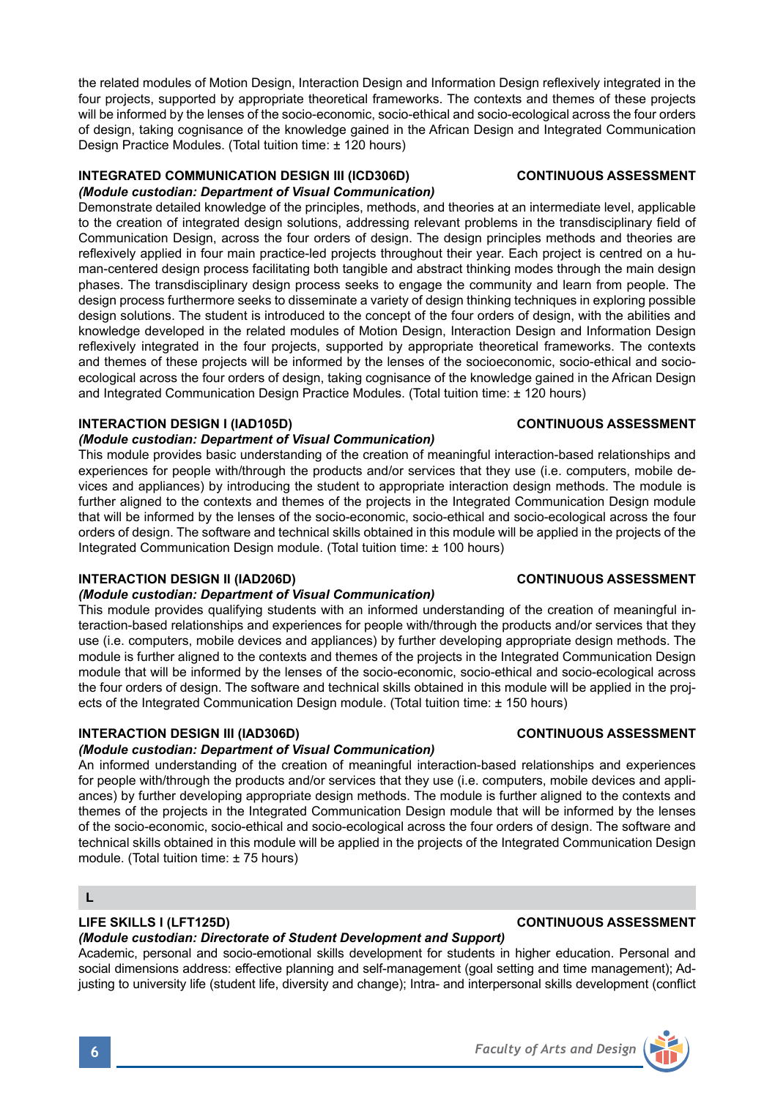the related modules of Motion Design, Interaction Design and Information Design reflexively integrated in the four projects, supported by appropriate theoretical frameworks. The contexts and themes of these projects will be informed by the lenses of the socio-economic, socio-ethical and socio-ecological across the four orders of design, taking cognisance of the knowledge gained in the African Design and Integrated Communication Design Practice Modules. (Total tuition time: ± 120 hours)

### **INTEGRATED COMMUNICATION DESIGN III (ICD306D) CONTINUOUS ASSESSMENT** *(Module custodian: Department of Visual Communication)*

Demonstrate detailed knowledge of the principles, methods, and theories at an intermediate level, applicable to the creation of integrated design solutions, addressing relevant problems in the transdisciplinary field of Communication Design, across the four orders of design. The design principles methods and theories are reflexively applied in four main practice-led projects throughout their year. Each project is centred on a human-centered design process facilitating both tangible and abstract thinking modes through the main design phases. The transdisciplinary design process seeks to engage the community and learn from people. The design process furthermore seeks to disseminate a variety of design thinking techniques in exploring possible design solutions. The student is introduced to the concept of the four orders of design, with the abilities and knowledge developed in the related modules of Motion Design, Interaction Design and Information Design reflexively integrated in the four projects, supported by appropriate theoretical frameworks. The contexts and themes of these projects will be informed by the lenses of the socioeconomic, socio-ethical and socioecological across the four orders of design, taking cognisance of the knowledge gained in the African Design and Integrated Communication Design Practice Modules. (Total tuition time: ± 120 hours)

### **INTERACTION DESIGN I (IAD105D) CONTINUOUS ASSESSMENT**

### *(Module custodian: Department of Visual Communication)*

This module provides basic understanding of the creation of meaningful interaction-based relationships and experiences for people with/through the products and/or services that they use (i.e. computers, mobile devices and appliances) by introducing the student to appropriate interaction design methods. The module is further aligned to the contexts and themes of the projects in the Integrated Communication Design module that will be informed by the lenses of the socio-economic, socio-ethical and socio-ecological across the four orders of design. The software and technical skills obtained in this module will be applied in the projects of the Integrated Communication Design module. (Total tuition time: ± 100 hours)

### **INTERACTION DESIGN II (IAD206D) CONTINUOUS ASSESSMENT**

### *(Module custodian: Department of Visual Communication)*

This module provides qualifying students with an informed understanding of the creation of meaningful interaction-based relationships and experiences for people with/through the products and/or services that they use (i.e. computers, mobile devices and appliances) by further developing appropriate design methods. The module is further aligned to the contexts and themes of the projects in the Integrated Communication Design module that will be informed by the lenses of the socio-economic, socio-ethical and socio-ecological across the four orders of design. The software and technical skills obtained in this module will be applied in the projects of the Integrated Communication Design module. (Total tuition time: ± 150 hours)

## **INTERACTION DESIGN III (IAD306D) CONTINUOUS ASSESSMENT**

## *(Module custodian: Department of Visual Communication)*

An informed understanding of the creation of meaningful interaction-based relationships and experiences for people with/through the products and/or services that they use (i.e. computers, mobile devices and appliances) by further developing appropriate design methods. The module is further aligned to the contexts and themes of the projects in the Integrated Communication Design module that will be informed by the lenses of the socio-economic, socio-ethical and socio-ecological across the four orders of design. The software and technical skills obtained in this module will be applied in the projects of the Integrated Communication Design module. (Total tuition time: ± 75 hours)

# **L**

# **LIFE SKILLS I (LFT125D) CONTINUOUS ASSESSMENT**

# *(Module custodian: Directorate of Student Development and Support)*

Academic, personal and socio-emotional skills development for students in higher education. Personal and social dimensions address: effective planning and self-management (goal setting and time management); Adjusting to university life (student life, diversity and change); Intra- and interpersonal skills development (conflict